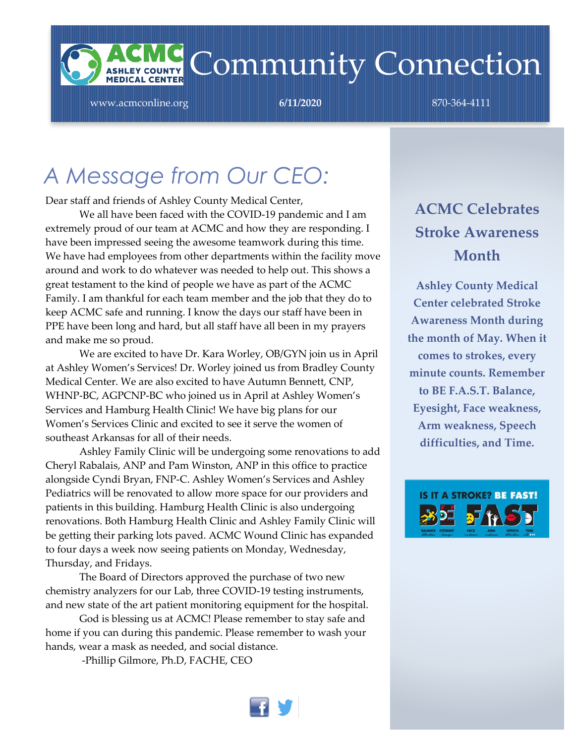

www.acmconline.org **6/11/2020** 870-364-4111

### *A Message from Our CEO:*

Dear staff and friends of Ashley County Medical Center,

We all have been faced with the COVID-19 pandemic and I am extremely proud of our team at ACMC and how they are responding. I have been impressed seeing the awesome teamwork during this time. We have had employees from other departments within the facility move around and work to do whatever was needed to help out. This shows a great testament to the kind of people we have as part of the ACMC Family. I am thankful for each team member and the job that they do to keep ACMC safe and running. I know the days our staff have been in PPE have been long and hard, but all staff have all been in my prayers and make me so proud.

We are excited to have Dr. Kara Worley, OB/GYN join us in April at Ashley Women's Services! Dr. Worley joined us from Bradley County Medical Center. We are also excited to have Autumn Bennett, CNP, WHNP-BC, AGPCNP-BC who joined us in April at Ashley Women's Services and Hamburg Health Clinic! We have big plans for our Women's Services Clinic and excited to see it serve the women of southeast Arkansas for all of their needs.

Ashley Family Clinic will be undergoing some renovations to add Cheryl Rabalais, ANP and Pam Winston, ANP in this office to practice alongside Cyndi Bryan, FNP-C. Ashley Women's Services and Ashley Pediatrics will be renovated to allow more space for our providers and patients in this building. Hamburg Health Clinic is also undergoing renovations. Both Hamburg Health Clinic and Ashley Family Clinic will be getting their parking lots paved. ACMC Wound Clinic has expanded to four days a week now seeing patients on Monday, Wednesday, Thursday, and Fridays.

The Board of Directors approved the purchase of two new chemistry analyzers for our Lab, three COVID-19 testing instruments, and new state of the art patient monitoring equipment for the hospital.

God is blessing us at ACMC! Please remember to stay safe and home if you can during this pandemic. Please remember to wash your hands, wear a mask as needed, and social distance.

-Phillip Gilmore, Ph.D, FACHE, CEO



### **ACMC Celebrates Stroke Awareness Month**

**Ashley County Medical Center celebrated Stroke Awareness Month during the month of May. When it comes to strokes, every minute counts. Remember to BE F.A.S.T. Balance, Eyesight, Face weakness, Arm weakness, Speech difficulties, and Time[.](https://www.facebook.com/ashleycountymedicalcenter/photos/pcb.1767058593412487/1767018953416451/?type=3)**

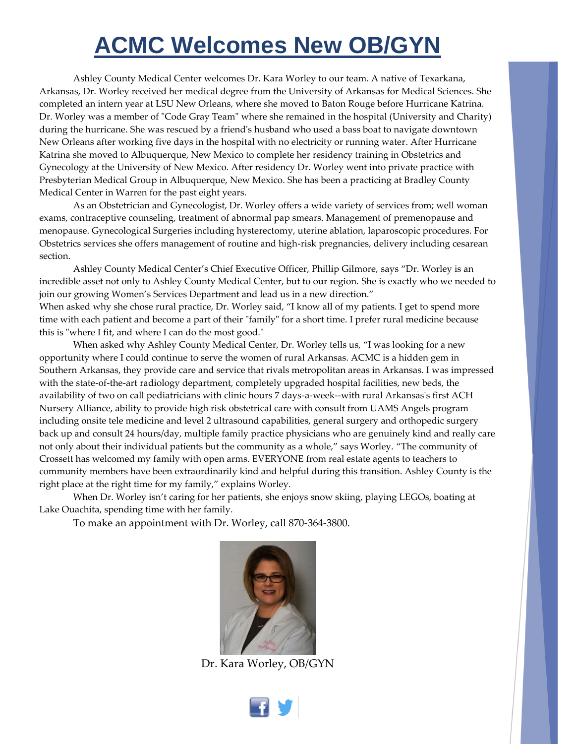### **ACMC Welcomes New OB/GYN**

Ashley County Medical Center welcomes Dr. Kara Worley to our team. A native of Texarkana, Arkansas, Dr. Worley received her medical degree from the University of Arkansas for Medical Sciences. She completed an intern year at LSU New Orleans, where she moved to Baton Rouge before Hurricane Katrina. Dr. Worley was a member of "Code Gray Team" where she remained in the hospital (University and Charity) during the hurricane. She was rescued by a friend's husband who used a bass boat to navigate downtown New Orleans after working five days in the hospital with no electricity or running water. After Hurricane Katrina she moved to Albuquerque, New Mexico to complete her residency training in Obstetrics and Gynecology at the University of New Mexico. After residency Dr. Worley went into private practice with Presbyterian Medical Group in Albuquerque, New Mexico. She has been a practicing at Bradley County Medical Center in Warren for the past eight years.

As an Obstetrician and Gynecologist, Dr. Worley offers a wide variety of services from; well woman exams, contraceptive counseling, treatment of abnormal pap smears. Management of premenopause and menopause. Gynecological Surgeries including hysterectomy, uterine ablation, laparoscopic procedures. For Obstetrics services she offers management of routine and high-risk pregnancies, delivery including cesarean section.

Ashley County Medical Center's Chief Executive Officer, Phillip Gilmore, says "Dr. Worley is an incredible asset not only to Ashley County Medical Center, but to our region. She is exactly who we needed to join our growing Women's Services Department and lead us in a new direction." When asked why she chose rural practice, Dr. Worley said, "I know all of my patients. I get to spend more time with each patient and become a part of their "family" for a short time. I prefer rural medicine because this is "where I fit, and where I can do the most good."

When asked why Ashley County Medical Center, Dr. Worley tells us, "I was looking for a new opportunity where I could continue to serve the women of rural Arkansas. ACMC is a hidden gem in Southern Arkansas, they provide care and service that rivals metropolitan areas in Arkansas. I was impressed with the state-of-the-art radiology department, completely upgraded hospital facilities, new beds, the availability of two on call pediatricians with clinic hours 7 days-a-week--with rural Arkansas's first ACH Nursery Alliance, ability to provide high risk obstetrical care with consult from UAMS Angels program including onsite tele medicine and level 2 ultrasound capabilities, general surgery and orthopedic surgery back up and consult 24 hours/day, multiple family practice physicians who are genuinely kind and really care not only about their individual patients but the community as a whole," says Worley. "The community of Crossett has welcomed my family with open arms. EVERYONE from real estate agents to teachers to community members have been extraordinarily kind and helpful during this transition. Ashley County is the right place at the right time for my family," explains Worley.

When Dr. Worley isn't caring for her patients, she enjoys snow skiing, playing LEGOs, boating at Lake Ouachita, spending time with her family.

To make an appointment with Dr. Worley, call 870-364-3800.



Dr. Kara Worley, OB/GYN

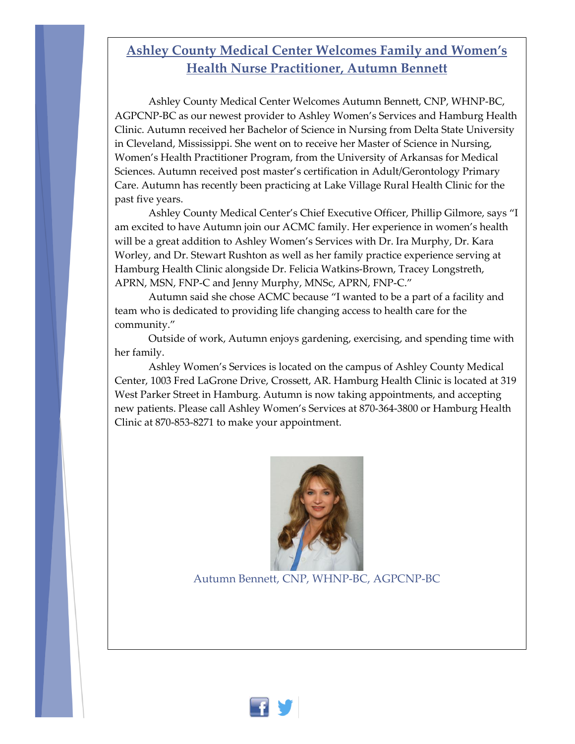#### **Ashley County Medical Center Welcomes Family and Women's Health Nurse Practitioner, Autumn Bennett**

Ashley County Medical Center Welcomes Autumn Bennett, CNP, WHNP-BC, AGPCNP-BC as our newest provider to Ashley Women's Services and Hamburg Health Clinic. Autumn received her Bachelor of Science in Nursing from Delta State University in Cleveland, Mississippi. She went on to receive her Master of Science in Nursing, Women's Health Practitioner Program, from the University of Arkansas for Medical Sciences. Autumn received post master's certification in Adult/Gerontology Primary Care. Autumn has recently been practicing at Lake Village Rural Health Clinic for the past five years.

Ashley County Medical Center's Chief Executive Officer, Phillip Gilmore, says "I am excited to have Autumn join our ACMC family. Her experience in women's health will be a great addition to Ashley Women's Services with Dr. Ira Murphy, Dr. Kara Worley, and Dr. Stewart Rushton as well as her family practice experience serving at Hamburg Health Clinic alongside Dr. Felicia Watkins-Brown, Tracey Longstreth, APRN, MSN, FNP-C and Jenny Murphy, MNSc, APRN, FNP-C."

Autumn said she chose ACMC because "I wanted to be a part of a facility and team who is dedicated to providing life changing access to health care for the community."

Outside of work, Autumn enjoys gardening, exercising, and spending time with her family.

Ashley Women's Services is located on the campus of Ashley County Medical Center, 1003 Fred LaGrone Drive, Crossett, AR. Hamburg Health Clinic is located at 319 West Parker Street in Hamburg. Autumn is now taking appointments, and accepting new patients. Please call Ashley Women's Services at 870-364-3800 or Hamburg Health Clinic at 870-853-8271 to make your appointment.



Autumn Bennett, CNP, WHNP-BC, AGPCNP-BC

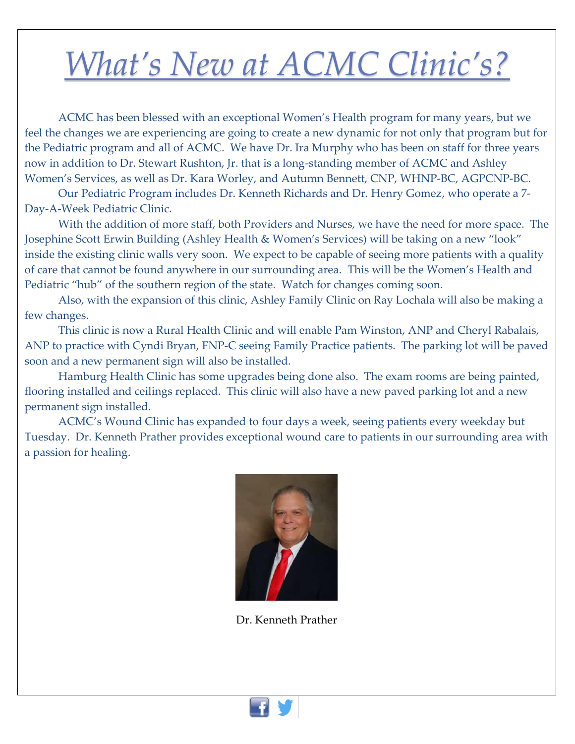# *What's New at ACMC Clinic's?*

ACMC has been blessed with an exceptional Women's Health program for many years, but we feel the changes we are experiencing are going to create a new dynamic for not only that program but for the Pediatric program and all of ACMC. We have Dr. Ira Murphy who has been on staff for three years now in addition to Dr. Stewart Rushton, Jr. that is a long-standing member of ACMC and Ashley Women's Services, as well as Dr. Kara Worley, and Autumn Bennett, CNP, WHNP-BC, AGPCNP-BC.

Our Pediatric Program includes Dr. Kenneth Richards and Dr. Henry Gomez, who operate a 7- Day-A-Week Pediatric Clinic.

With the addition of more staff, both Providers and Nurses, we have the need for more space. The Josephine Scott Erwin Building (Ashley Health & Women's Services) will be taking on a new "look" inside the existing clinic walls very soon. We expect to be capable of seeing more patients with a quality of care that cannot be found anywhere in our surrounding area. This will be the Women's Health and Pediatric "hub" of the southern region of the state. Watch for changes coming soon.

Also, with the expansion of this clinic, Ashley Family Clinic on Ray Lochala will also be making a few changes.

This clinic is now a Rural Health Clinic and will enable Pam Winston, ANP and Cheryl Rabalais, ANP to practice with Cyndi Bryan, FNP-C seeing Family Practice patients. The parking lot will be paved soon and a new permanent sign will also be installed.

Hamburg Health Clinic has some upgrades being done also. The exam rooms are being painted, flooring installed and ceilings replaced. This clinic will also have a new paved parking lot and a new permanent sign installed.

ACMC's Wound Clinic has expanded to four days a week, seeing patients every weekday but Tuesday. Dr. Kenneth Prather provides exceptional wound care to patients in our surrounding area with a passion for healing.



Dr. Kenneth Prather

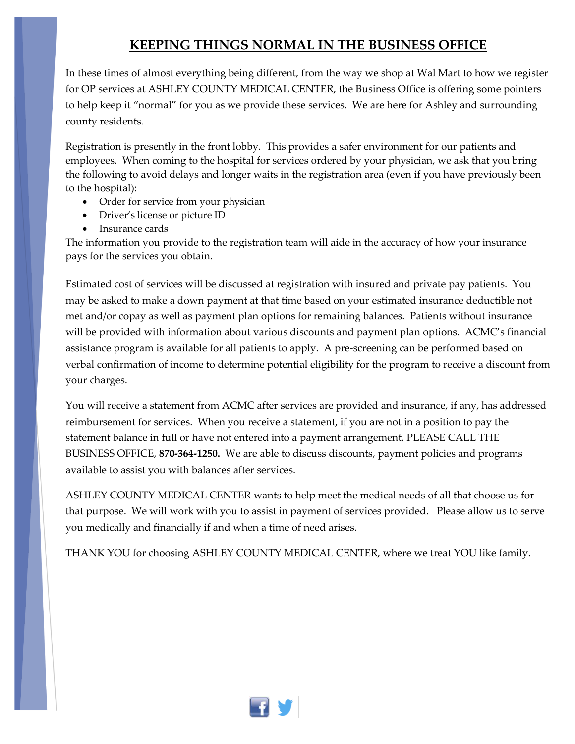#### **KEEPING THINGS NORMAL IN THE BUSINESS OFFICE**

In these times of almost everything being different, from the way we shop at Wal Mart to how we register for OP services at ASHLEY COUNTY MEDICAL CENTER, the Business Office is offering some pointers to help keep it "normal" for you as we provide these services. We are here for Ashley and surrounding county residents.

Registration is presently in the front lobby. This provides a safer environment for our patients and employees. When coming to the hospital for services ordered by your physician, we ask that you bring the following to avoid delays and longer waits in the registration area (even if you have previously been to the hospital):

- Order for service from your physician
- Driver's license or picture ID
- Insurance cards

The information you provide to the registration team will aide in the accuracy of how your insurance pays for the services you obtain.

Estimated cost of services will be discussed at registration with insured and private pay patients. You may be asked to make a down payment at that time based on your estimated insurance deductible not met and/or copay as well as payment plan options for remaining balances. Patients without insurance will be provided with information about various discounts and payment plan options. ACMC's financial assistance program is available for all patients to apply. A pre-screening can be performed based on verbal confirmation of income to determine potential eligibility for the program to receive a discount from your charges.

You will receive a statement from ACMC after services are provided and insurance, if any, has addressed reimbursement for services. When you receive a statement, if you are not in a position to pay the statement balance in full or have not entered into a payment arrangement, PLEASE CALL THE BUSINESS OFFICE, **870-364-1250.** We are able to discuss discounts, payment policies and programs available to assist you with balances after services.

ASHLEY COUNTY MEDICAL CENTER wants to help meet the medical needs of all that choose us for that purpose. We will work with you to assist in payment of services provided. Please allow us to serve you medically and financially if and when a time of need arises.

THANK YOU for choosing ASHLEY COUNTY MEDICAL CENTER, where we treat YOU like family.

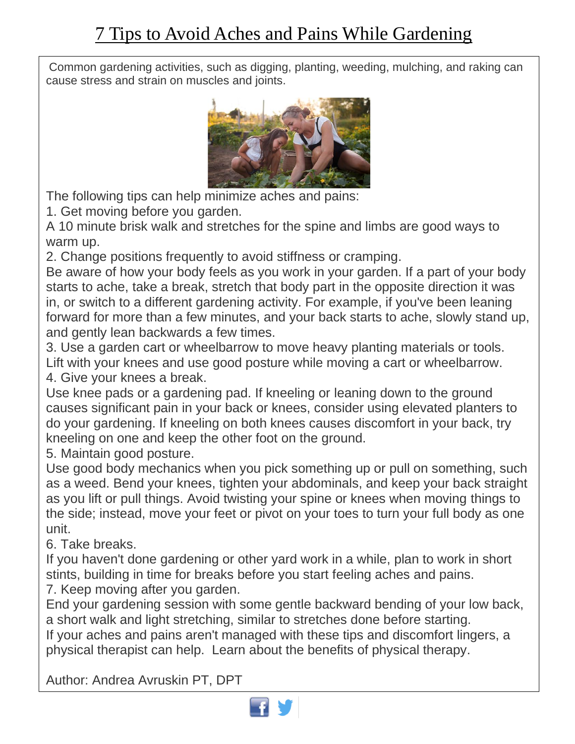Common gardening activities, such as digging, planting, weeding, mulching, and raking can cause stress and strain on muscles and joints.



The following tips can help minimize aches and pains:

1. Get moving before you garden.

A 10 minute brisk walk and stretches for the spine and limbs are good ways to warm up.

2. Change positions frequently to avoid stiffness or cramping.

Be aware of how your body feels as you work in your garden. If a part of your body starts to ache, take a break, stretch that body part in the opposite direction it was in, or switch to a different gardening activity. For example, if you've been leaning forward for more than a few minutes, and your back starts to ache, slowly stand up, and gently lean backwards a few times.

3. Use a garden cart or wheelbarrow to move heavy planting materials or tools. Lift with your knees and use good posture while moving a cart or wheelbarrow. 4. Give your knees a break.

Use knee pads or a gardening pad. If kneeling or leaning down to the ground causes significant pain in your back or knees, consider using elevated planters to do your gardening. If kneeling on both knees causes discomfort in your back, try kneeling on one and keep the other foot on the ground.

5. Maintain good posture.

 the side; instead, move your feet or pivot on your toes to turn your full body as one Use good body mechanics when you pick something up or pull on something, such as a weed. Bend your knees, tighten your abdominals, and keep your back straight as you lift or pull things. Avoid twisting your spine or knees when moving things to unit.

6. Take breaks.

If you haven't done gardening or other yard work in a while, plan to work in short stints, building in time for breaks before you start feeling aches and pains.

7. Keep moving after you garden.

 End your gardening session with some gentle backward bending of your low back, a short walk and light stretching, similar to stretches done before starting.

 physical therapist can help. Learn about the benefits of physical therapy. If your aches and pains aren't managed with these tips and discomfort lingers, a

Author: Andrea Avruskin PT, DPT

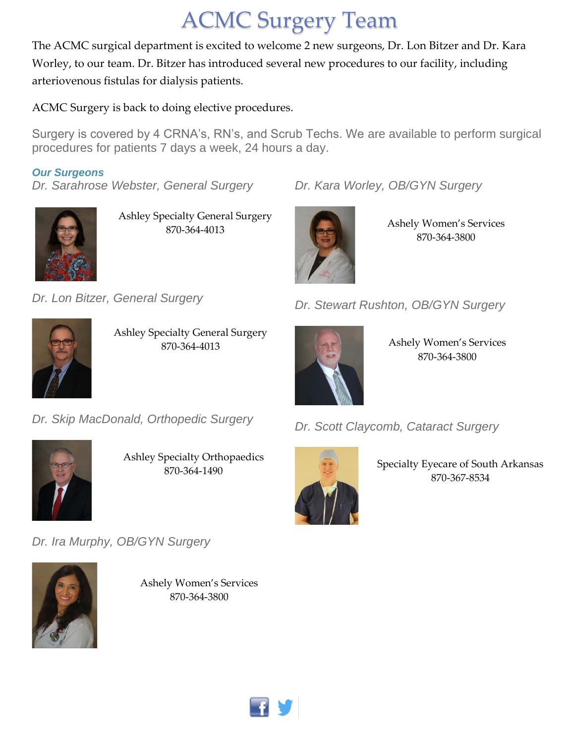### ACMC Surgery Team

The ACMC surgical department is excited to welcome 2 new surgeons, Dr. Lon Bitzer and Dr. Kara Worley, to our team. Dr. Bitzer has introduced several new procedures to our facility, including arteriovenous fistulas for dialysis patients.

ACMC Surgery is back to doing elective procedures.

Surgery is covered by 4 CRNA's, RN's, and Scrub Techs. We are available to perform surgical procedures for patients 7 days a week, 24 hours a day.

#### *Our Surgeons*

• *Dr. Sarahrose Webster, General Surgery*



Ashley Specialty General Surgery 870-364-4013

• *Dr. Lon Bitzer, General Surgery*



Ashley Specialty General Surgery 870-364-4013

• *Dr. Stewart Rushton, OB/GYN Surgery*

Ashely Women's Services 870-364-3800

Ashely Women's Services 870-364-3800



• *Dr. Skip MacDonald, Orthopedic Surgery*



Ashley Specialty Orthopaedics 870-364-1490

• *Dr. Ira Murphy, OB/GYN Surgery*



Ashely Women's Services 870-364-3800



• *Dr. Kara Worley, OB/GYN Surgery*

• *Dr. Scott Claycomb, Cataract Surgery*



Specialty Eyecare of South Arkansas 870-367-8534

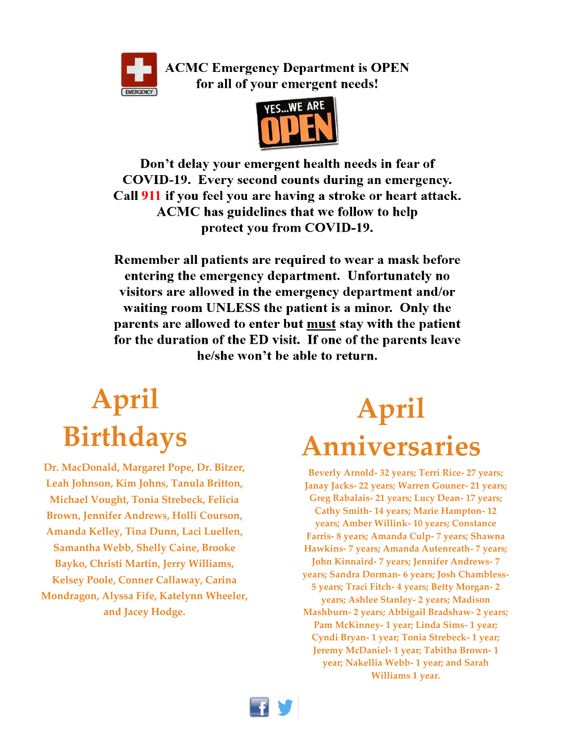

**ACMC Emergency Department is OPEN** for all of your emergent needs!



Don't delay your emergent health needs in fear of COVID-19. Every second counts during an emergency. Call 911 if you feel you are having a stroke or heart attack. ACMC has guidelines that we follow to help protect you from COVID-19.

Remember all patients are required to wear a mask before entering the emergency department. Unfortunately no visitors are allowed in the emergency department and/or waiting room UNLESS the patient is a minor. Only the parents are allowed to enter but must stay with the patient for the duration of the ED visit. If one of the parents leave he/she won't be able to return.

## **April Birthdays**

**Dr. MacDonald, Margaret Pope, Dr. Bitzer, Leah Johnson, Kim Johns, Tanula Britton, Michael Vought, Tonia Strebeck, Felicia Brown, Jennifer Andrews, Holli Courson, Amanda Kelley, Tina Dunn, Laci Luellen, Samantha Webb, Shelly Caine, Brooke Bayko, Christi Martin, Jerry Williams, Kelsey Poole, Conner Callaway, Carina Mondragon, Alyssa Fife, Katelynn Wheeler, and Jacey Hodge.**

## **April Anniversaries**

**Beverly Arnold- 32 years; Terri Rice- 27 years; Janay Jacks- 22 years; Warren Gouner- 21 years; Greg Rabalais- 21 years; Lucy Dean- 17 years; Cathy Smith- 14 years; Marie Hampton- 12 years; Amber Willink- 10 years; Constance Farris- 8 years; Amanda Culp- 7 years; Shawna Hawkins- 7 years; Amanda Autenreath- 7 years; John Kinnaird- 7 years; Jennifer Andrews- 7 years; Sandra Dorman- 6 years; Josh Chambless-5 years; Traci Fitch- 4 years; Betty Morgan- 2 years; Ashlee Stanley- 2 years; Madison Mashburn- 2 years; Abbigail Bradshaw- 2 years; Pam McKinney- 1 year; Linda Sims- 1 year; Cyndi Bryan- 1 year; Tonia Strebeck- 1 year; Jeremy McDaniel- 1 year; Tabitha Brown- 1 year; Nakellia Webb- 1 year; and Sarah Williams 1 year.**